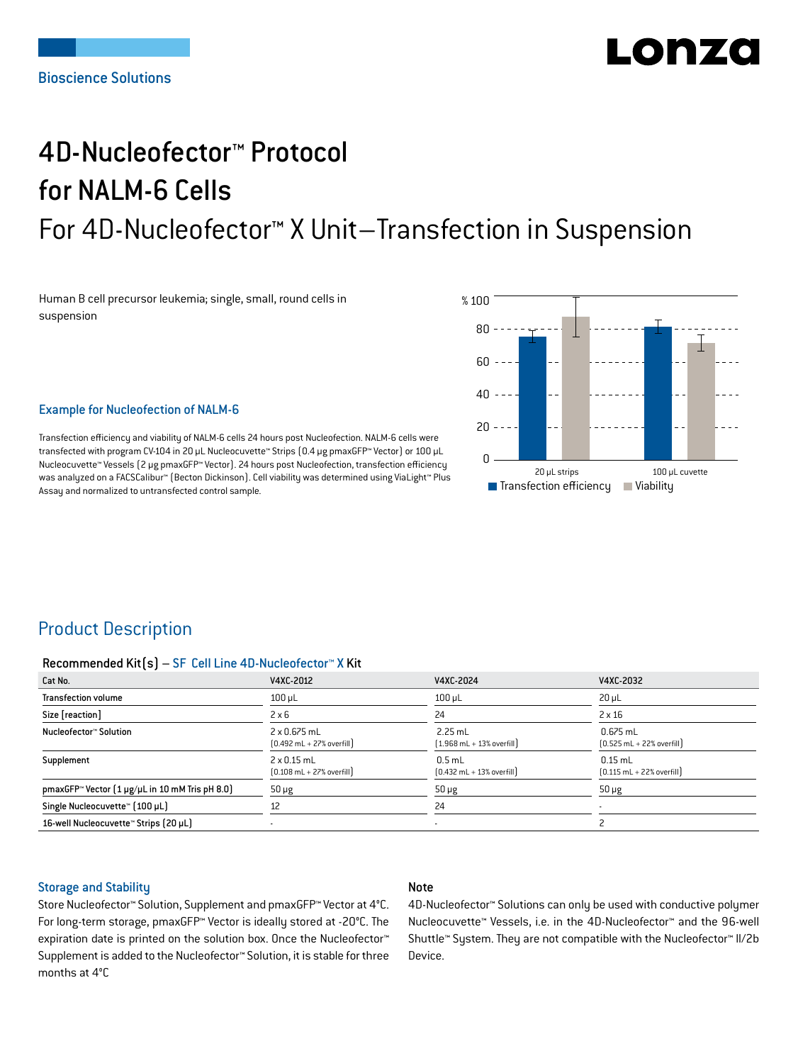# LONZ

## 4D-Nucleofector™ Protocol for NALM-6 Cells For 4D-Nucleofector™ X Unit–Transfection in Suspension

Human B cell precursor leukemia; single, small, round cells in suspension



### Example for Nucleofection of NALM-6

Transfection efficiency and viability of NALM-6 cells 24 hours post Nucleofection. NALM-6 cells were transfected with program CV-104 in 20 μL Nucleocuvette™ Strips (0.4 μg pmaxGFP™ Vector) or 100 μL Nucleocuvette™ Vessels (2 μg pmaxGFP™ Vector). 24 hours post Nucleofection, transfection efficiency was analyzed on a FACSCalibur™ (Becton Dickinson). Cell viability was determined using ViaLight™ Plus Assay and normalized to untransfected control sample.

## Product Description

### Recommended Kit(s) – SF Cell Line 4D-Nucleofector™ X Kit

| Cat No.                                                           | V4XC-2012                                                          | V4XC-2024                                                 | V4XC-2032                                                  |
|-------------------------------------------------------------------|--------------------------------------------------------------------|-----------------------------------------------------------|------------------------------------------------------------|
| <b>Transfection volume</b>                                        | $100$ $\mu$ L                                                      | $100$ $\mu$ L                                             | $20 \mu L$                                                 |
| Size [reaction]                                                   | $2 \times 6$                                                       | 24                                                        | $2 \times 16$                                              |
| Nucleofector™ Solution                                            | 2 x 0.675 mL<br>$[0.492 \text{ mL} + 27\% \text{ overfill}]$       | $2.25$ mL<br>$[1.968 \text{ mL} + 13\% \text{ overfill}]$ | $0.675$ mL<br>$[0.525 \text{ mL} + 22\% \text{ overfill}]$ |
| Supplement                                                        | $2 \times 0.15$ mL<br>$[0.108 \text{ mL} + 27\% \text{ overfill}]$ | $0.5$ mL<br>$[0.432 \text{ mL} + 13\% \text{ overfill}]$  | $0.15$ mL<br>$[0.115 \text{ mL} + 22\% \text{ overfill}]$  |
| pmaxGFP <sup>*</sup> Vector $[1 \mu g/\mu L$ in 10 mM Tris pH 8.0 | $50 \mu g$                                                         | $50 \mu g$                                                | $50 \mu g$                                                 |
| Single Nucleocuvette™ [100 µL]                                    | 12                                                                 | 24                                                        | ۰                                                          |
| 16-well Nucleocuvette™ Strips (20 µL)                             |                                                                    | $\blacksquare$                                            |                                                            |

### Storage and Stability

## Note

Store Nucleofector™ Solution, Supplement and pmaxGFP™ Vector at 4°C. For long-term storage, pmaxGFP™ Vector is ideally stored at -20°C. The expiration date is printed on the solution box. Once the Nucleofector™ Supplement is added to the Nucleofector™ Solution, it is stable for three months at 4°C

4D-Nucleofector™ Solutions can only be used with conductive polymer Nucleocuvette™ Vessels, i.e. in the 4D-Nucleofector™ and the 96-well Shuttle™ System. They are not compatible with the Nucleofector™ II/2b Device.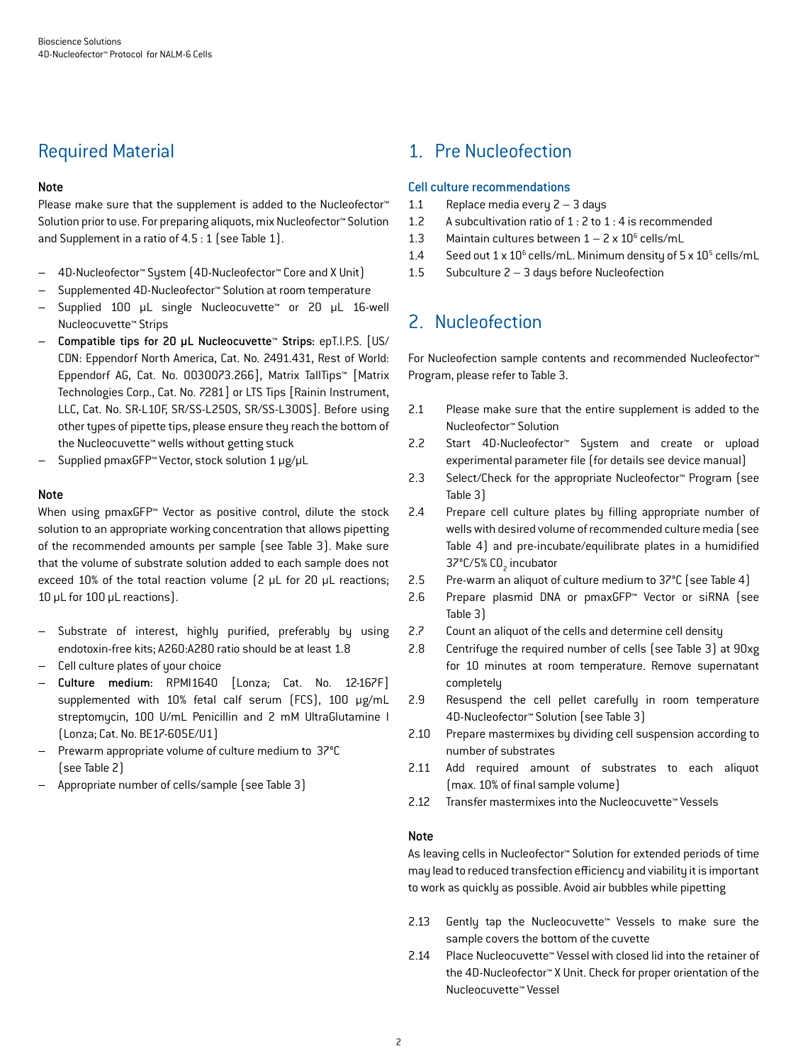## Required Material

## Note

Please make sure that the supplement is added to the Nucleofector<sup>™</sup> Solution prior to use. For preparing aliquots, mix Nucleofector™ Solution and Supplement in a ratio of 4.5 : 1 (see Table 1).

- 4D-Nucleofector™ System (4D-Nucleofector™ Core and X Unit)
- Supplemented 4D-Nucleofector™ Solution at room temperature
- Supplied 100 µL single Nucleocuvette™ or 20 µL 16-well Nucleocuvette™ Strips
- Compatible tips for 20 µL Nucleocuvette™ Strips: epT.I.P.S. [US/ CDN: Eppendorf North America, Cat. No. 2491.431, Rest of World: Eppendorf AG, Cat. No. 0030073.266], Matrix TallTips™ [Matrix Technologies Corp., Cat. No. 7281] or LTS Tips [Rainin Instrument, LLC, Cat. No. SR-L10F, SR/SS-L250S, SR/SS-L300S]. Before using other types of pipette tips, please ensure they reach the bottom of the Nucleocuvette™ wells without getting stuck
- Supplied pmaxGFP™ Vector, stock solution 1 μg/μL

## Note

When using pmaxGFP™ Vector as positive control, dilute the stock solution to an appropriate working concentration that allows pipetting of the recommended amounts per sample (see Table 3). Make sure that the volume of substrate solution added to each sample does not exceed 10% of the total reaction volume (2 μL for 20 μL reactions; 10 μL for 100 μL reactions).

- Substrate of interest, highly purified, preferably by using endotoxin-free kits; A260:A280 ratio should be at least 1.8
- Cell culture plates of your choice
- Culture medium: RPMI1640 [Lonza; Cat. No. 12-167F] supplemented with 10% fetal calf serum (FCS), 100 μg/mL streptomycin, 100 U/mL Penicillin and 2 mM UltraGlutamine I (Lonza; Cat. No. BE17-605E/U1)
- Prewarm appropriate volume of culture medium to 37°C (see Table 2)
- Appropriate number of cells/sample (see Table 3)

## 1. Pre Nucleofection

## Cell culture recommendations

- 1.1 Replace media every 2 3 days
- 1.2 A subcultivation ratio of 1 : 2 to 1 : 4 is recommended
- 1.3 Maintain cultures between  $1 2 \times 10^6$  cells/mL
- 1.4 Seed out  $1 \times 10^6$  cells/mL. Minimum density of  $5 \times 10^5$  cells/mL
- 1.5 Subculture 2 3 days before Nucleofection

## 2. Nucleofection

For Nucleofection sample contents and recommended Nucleofector™ Program, please refer to Table 3.

- 2.1 Please make sure that the entire supplement is added to the Nucleofector™ Solution
- 2.2 Start 4D-Nucleofector™ System and create or upload experimental parameter file (for details see device manual)
- 2.3 Select/Check for the appropriate Nucleofector™ Program (see Table 3)
- 2.4 Prepare cell culture plates by filling appropriate number of wells with desired volume of recommended culture media (see Table 4) and pre-incubate/equilibrate plates in a humidified 37°C/5% CO<sub>2</sub> incubator
- 2.5 Pre-warm an aliquot of culture medium to 37°C (see Table 4)
- 2.6 Prepare plasmid DNA or pmaxGFP™ Vector or siRNA (see Table 3)
- 2.7 Count an aliquot of the cells and determine cell density
- 2.8 Centrifuge the required number of cells (see Table 3) at 90xg for 10 minutes at room temperature. Remove supernatant completely
- 2.9 Resuspend the cell pellet carefully in room temperature 4D-Nucleofector™ Solution (see Table 3)
- 2.10 Prepare mastermixes by dividing cell suspension according to number of substrates
- 2.11 Add required amount of substrates to each aliquot (max. 10% of final sample volume)
- 2.12 Transfer mastermixes into the Nucleocuvette™ Vessels

### Note

As leaving cells in Nucleofector™ Solution for extended periods of time may lead to reduced transfection efficiency and viability it is important to work as quickly as possible. Avoid air bubbles while pipetting

- 2.13 Gently tap the Nucleocuvette™ Vessels to make sure the sample covers the bottom of the cuvette
- 2.14 Place Nucleocuvette™ Vessel with closed lid into the retainer of the 4D-Nucleofector™ X Unit. Check for proper orientation of the Nucleocuvette™ Vessel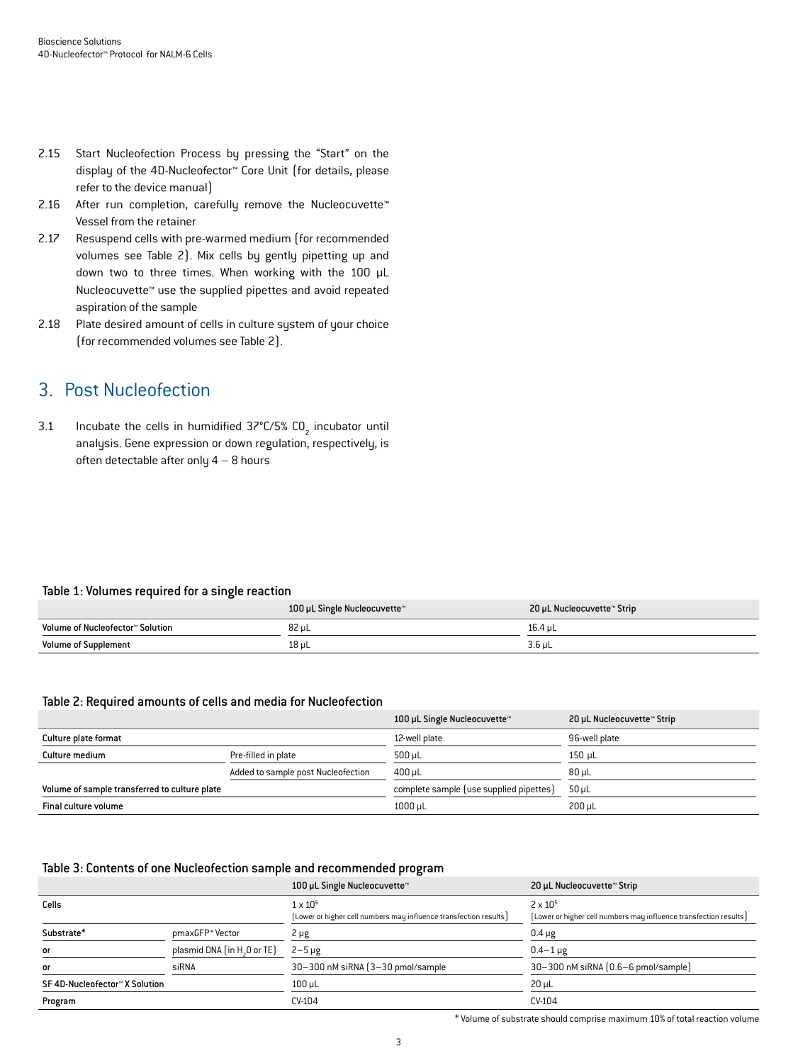- 2.15 Start Nucleofection Process by pressing the "Start" on the display of the 4D-Nucleofector™ Core Unit (for details, please refer to the device manual)
- 2.16 After run completion, carefully remove the Nucleocuvette<sup>™</sup> Vessel from the retainer
- 2.17 Resuspend cells with pre-warmed medium (for recommended volumes see Table 2). Mix cells by gently pipetting up and down two to three times. When working with the 100 µL Nucleocuvette™ use the supplied pipettes and avoid repeated aspiration of the sample
- 2.18 Plate desired amount of cells in culture system of your choice (for recommended volumes see Table 2).

## 3. Post Nucleofection

3.1 Incubate the cells in humidified  $37^{\circ}$ C/5% CO<sub>2</sub> incubator until analysis. Gene expression or down regulation, respectively, is often detectable after only 4 – 8 hours

### Table 1: Volumes required for a single reaction

|                                  | 100 µL Single Nucleocuvette™ | 20 µL Nucleocuvette™ Strip |
|----------------------------------|------------------------------|----------------------------|
| Volume of Nucleofector™ Solution | 82 uL                        | 16.4 uL                    |
| <b>Volume of Supplement</b>      | 18 µL                        | $3.6$ µL                   |

## Table 2: Required amounts of cells and media for Nucleofection

|                                               |                                    | 100 µL Single Nucleocuvette™            | 20 µL Nucleocuvette™ Strip |
|-----------------------------------------------|------------------------------------|-----------------------------------------|----------------------------|
| Culture plate format                          |                                    | 12-well plate                           | 96-well plate              |
| Culture medium                                | Pre-filled in plate                | $500 \mu L$                             | 150 uL                     |
|                                               | Added to sample post Nucleofection | 400 uL                                  | $80 \mu L$                 |
| Volume of sample transferred to culture plate |                                    | complete sample (use supplied pipettes) | $50 \mu L$                 |
| Final culture volume                          |                                    | 1000 µL                                 | 200 uL                     |

#### Table 3: Contents of one Nucleofection sample and recommended program

|                                |                                         | 100 µL Single Nucleocuvette™                                      | 20 µL Nucleocuvette™ Strip                                        |
|--------------------------------|-----------------------------------------|-------------------------------------------------------------------|-------------------------------------------------------------------|
| Cells                          |                                         | $1 \times 10^6$                                                   | $2 \times 10^{5}$                                                 |
|                                |                                         | (Lower or higher cell numbers may influence transfection results) | [Lower or higher cell numbers may influence transfection results] |
| Substrate*                     | pmaxGFP™ Vector                         | 2 µg                                                              | $0.4 \mu g$                                                       |
| <b>or</b>                      | plasmid DNA (in H <sub>2</sub> O or TE) | $2-5 \mu g$                                                       | $0.4 - 1 \mu g$                                                   |
| <b>or</b>                      | siRNA                                   | 30-300 nM siRNA (3-30 pmol/sample)                                | 30-300 nM siRNA (0.6-6 pmol/sample)                               |
| SF 4D-Nucleofector™ X Solution |                                         | $100 \mu L$                                                       | $20 \mu L$                                                        |
| Program                        |                                         | CV-104                                                            | $CV-104$                                                          |

\* Volume of substrate should comprise maximum 10% of total reaction volume